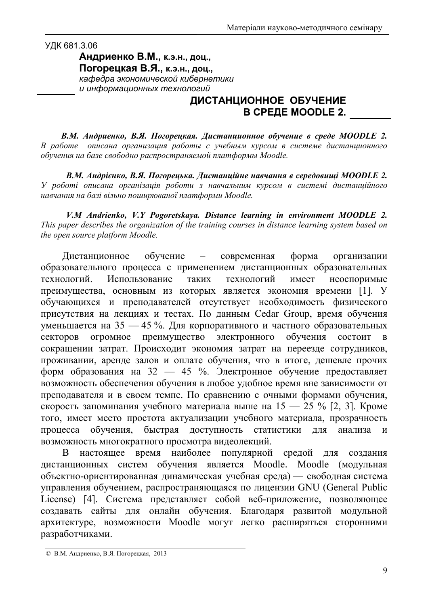## УДК 681.3.06

 $A$ ндриенко В.М., к.э.н., доц., Погорецкая В.Я., к.э.н., доц., кафедра экономической кибернетики  $\mu$  информационных технологий

## ДИСТАНЦИОННОЕ ОБУЧЕНИЕ **В СРЕДЕ MOODLE 2.**

*B.M. Андриенко, В.Я. Погорецкая. Дистанционное обучение в среде MOODLE 2.* В работе описана организация работы с учебным курсом в системе дистанционного обучения на базе свободно распространяемой платформы Moodle.

*B.M. Андрієнко, В.Я. Погорецька. Дистанційне навчання в середовищі MOODLE 2.*  $Y$  роботі описана організація роботи з навчальним курсом в системі дистанційного навчання на базі вільно поширюваної платформи Moodle.

*V.M Andrienko, V.Y Pogoretskaya. Distance learning in environment MOODLE 2. This paper describes the organization of the training courses in distance learning system based on the open source platform Moodle.* 

Дистанци обучение – современная форма зации образовательного процесса с применением дистанционных образовательных технологий. Использование таких х технологий и меет неоспоримые преимущества, основным из которых является экономия времени [1]. У обучающихся и преподавателей отсутствует необходимость физического присутствия на лекциях и тестах. По данным Cedar Group, время обучения уменьшается на 35 — 45 %. Для корпоративного и частного образовательных секторов огромное преимущество электронного обучения я состоит в сокращении затрат. Происходит экономия затрат на переезде сотрудников, проживании, аренде залов и оплате обучения, что в итоге, дешевле прочих форм образования на 32 — 45 %. Электронное обучение предоставляет возможность обеспечения обучения в любое удобное время вне зависимости от преподавателя и в своем темпе. По сравнению с очными формами обучения, скорость запоминания учебного материала выше на 15 — 25 % [2, 3]. Кроме того, имеет место простота актуализации учебного материала, прозрачность процесса обучения, быстрая доступность статистики для анали анализа и возможность многократного просмотра видеолекций.

В настоящее время наиболее популярной средой для создани созлания дистанционных систем обучения является Moodle. Moodle (модульная объектно-ориентированная динамическая учебная среда) — свободная система управления обучением, распространяющаяся по лицензии GNU (General Public License) [4]. Система представляет собой веб-приложение, позволяющее создавать сайты для онлайн обучения. Благодаря развитой модульной архитектуре, возможности Moodle могут легко расширяться сторонними разработчиками.

<sup>©</sup> В.М. Андриенко, В.Я. Погорецкая, 2013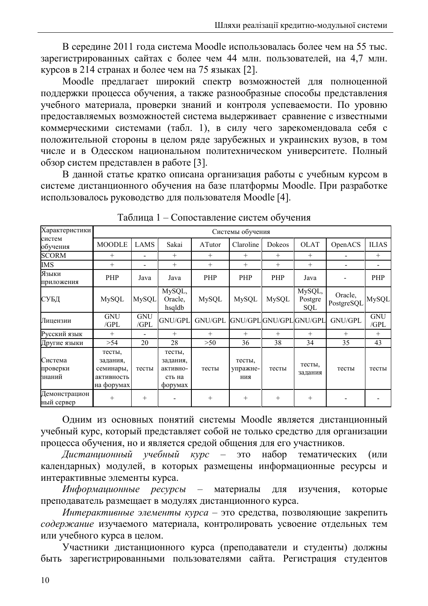В середине 2011 года система Moodle использовалась более чем на 55 тыс. зарегистрированных сайтах с более чем 44 млн. пользователей, на 4,7 млн. курсов в 214 странах и более чем на 75 языках [2].

Moodle предлагает широкий спектр возможностей для полноценной поддержки процесса обучения, а также разнообразные способы представления учебного материала, проверки знаний и контроля успеваемости. По уровню предоставляемых возможностей система выдерживает сравнение с известными коммерческими системами (табл. 1), в силу чего зарекомендовала себя с положительной стороны в целом ряде зарубежных и украинских вузов, в том числе и в Одесском национальном политехническом университете. Полный обзор систем представлен в работе [3].

В данной статье кратко описана организация работы с учебным курсом в системе дистанционного обучения на базе платформы Moodle. При разработке использовалось руководство для пользователя Moodle [4].

| Характеристики                | Системы обучения                                            |                          |                                                     |              |                           |                         |                          |                       |                          |
|-------------------------------|-------------------------------------------------------------|--------------------------|-----------------------------------------------------|--------------|---------------------------|-------------------------|--------------------------|-----------------------|--------------------------|
| систем<br>обучения            | <b>MOODLE</b>                                               | LAMS                     | Sakai                                               | ATutor       | Claroline                 | Dokeos                  | <b>OLAT</b>              | OpenACS               | <b>ILIAS</b>             |
| <b>SCORM</b>                  | $+$                                                         | $\blacksquare$           | $^{+}$                                              | $+$          | $+$                       | $+$                     | $+$                      |                       | $+$                      |
| <b>IMS</b>                    | $^{+}$                                                      | $\overline{\phantom{0}}$ | $^{+}$                                              | $^{+}$       | $+$                       | $^{+}$                  | $+$                      |                       | $\overline{\phantom{0}}$ |
| Языки<br>приложения           | <b>PHP</b>                                                  | Java                     | Java                                                | PHP          | PHP                       | PHP                     | Java                     |                       | PHP                      |
| СУБД                          | <b>MySQL</b>                                                | <b>MySQL</b>             | MySQL,<br>Oracle,<br>hsqldb                         | <b>MySQL</b> | <b>MySQL</b>              | <b>MySQL</b>            | MySQL,<br>Postgre<br>SQL | Oracle,<br>PostgreSQL | <b>MySQL</b>             |
| Лицензии                      | <b>GNU</b><br>/GPL                                          | <b>GNU</b><br>/GPL       | GNU/GPL                                             | GNU/GPL      |                           | GNU/GPL GNU/GPL GNU/GPL |                          | GNU/GPL               | <b>GNU</b><br>/GPL       |
| Русский язык                  | $^{+}$                                                      |                          | $^{+}$                                              | $^{+}$       | $+$                       | $+$                     | $+$                      | $+$                   | $+$                      |
| Другие языки                  | >54                                                         | 20                       | 28                                                  | >50          | 36                        | 38                      | 34                       | 35                    | 43                       |
| Система<br>проверки<br>знаний | тесты,<br>задания,<br>семинары,<br>активность<br>на форумах | тесты                    | тесты,<br>задания.<br>активно-<br>сть на<br>форумах | тесты        | тесты,<br>упражне-<br>ния | тесты                   | тесты,<br>задания        | тесты                 | тесты                    |
| Демонстрацион<br>ный сервер   | $\pm$                                                       | $^{+}$                   |                                                     | $+$          | $+$                       | $^{+}$                  | $+$                      |                       |                          |

Таблица 1 – Сопоставление систем обучения

Одним из основных понятий системы Moodle является дистанционный учебный курс, который представляет собой не только средство для организации процесса обучения, но и является средой общения для его участников.

Дистаниионный үчебный  $KYPC$ это набор тематических  $\overline{\phantom{a}}$ (или календарных) модулей, в которых размещены информационные ресурсы и интерактивные элементы курса.

Информационные ресурсы материалы ДЛЯ изучения, которые  $\overline{\phantom{0}}$ преподаватель размещает в модулях дистанционного курса.

Интерактивные элементы курса - это средства, позволяющие закрепить содержание изучаемого материала, контролировать усвоение отдельных тем или учебного курса в целом.

Участники дистанционного курса (преподаватели и студенты) должны быть зарегистрированными пользователями сайта. Регистрация студентов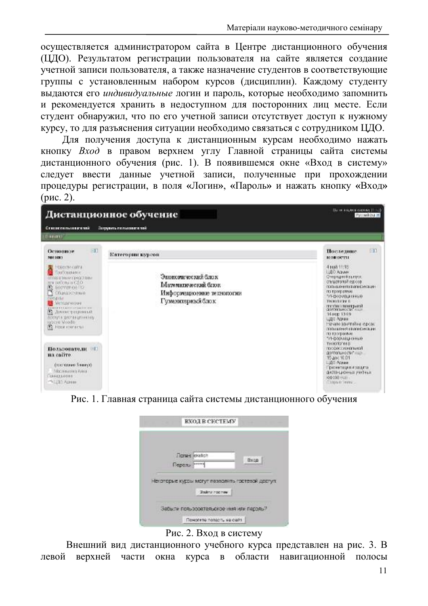осуществляется администратором сайта в Центре дистанционного обучения (ЦДО). Результатом регистрации пользователя на сайте является создание учетной записи пользователя, а также назначение студентов в соответствующие группы с установленным набором курсов (дисциплин). Каждому студенту выдаются его индивидуальные логин и пароль, которые необходимо запомнить и рекомендуется хранить в недоступном для посторонних лиц месте. Если студент обнаружил, что по его учетной записи отсутствует доступ к нужному курсу, то для разъяснения ситуации необходимо связаться с сотрудником ЦДО.

Для получения доступа к дистанционным курсам необходимо нажать кнопку Вход в правом верхнем углу Главной страницы сайта системы дистанционного обучения (рис. 1). В появившемся окне «Вход в систему» следует ввести данные учетной записи, полученные при прохождении процедуры регистрации, в поля «Логин», «Пароль» и нажать кнопку «Вход»  $(pnc. 2)$ .



Рис. 1. Главная страница сайта системы дистанционного обучения

| <b>Dones</b> ekilich                                              |                                                                     |
|-------------------------------------------------------------------|---------------------------------------------------------------------|
|                                                                   | Bxcn                                                                |
| Паралы ******<br>Некоторые курсы могут позволять гостевой доступ. |                                                                     |
| <b>Bakni rochev</b>                                               |                                                                     |
|                                                                   |                                                                     |
|                                                                   | Забыли пользовательское имя или пароль?<br>Почогате попасть не сейт |



Внешний вид дистанционного учебного курса представлен на рис. 3. В левой верхней части окна курса в области навигационной полосы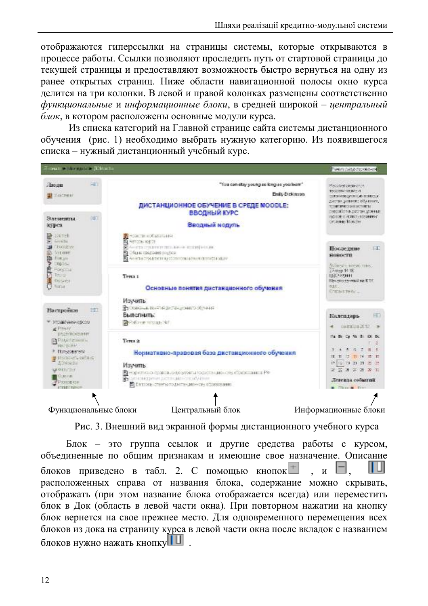отображаются гиперссылки на страницы системы, которые открываются в процессе работы. Ссылки позволяют проследить путь от стартовой страницы до текущей страницы и предоставляют возможность быстро вернуться на одну из ранее открытых страниц. Ниже области навигационной полосы окно курса делится на три колонки. В левой и правой колонках размещены соответственно функциональные и информационные блоки, в средней широкой – центральный блок, в котором расположены основные модули курса.

Из списка категорий на Главной странице сайта системы дистанционного обучения (рис. 1) необходимо выбрать нужную категорию. Из появившегося списка - нужный дистанционный учебный курс.



Рис. 3. Внешний вид экранной формы дистанционного учебного курса

Блок - это группа ссылок и другие средства работы с курсом, объединенные по общим признакам и имеющие свое назначение. Описание блоков приведено в табл. 2. С помощью кнопок  $\boldsymbol{\mathit{H}}$ расположенных справа от названия блока, содержание можно скрывать, отображать (при этом название блока отображается всегда) или переместить блок в Док (область в левой части окна). При повторном нажатии на кнопку блок вернется на свое прежнее место. Для одновременного перемещения всех блоков из дока на страницу курса в левой части окна после вкладок с названием блоков нужно нажать кнопку**ШШ**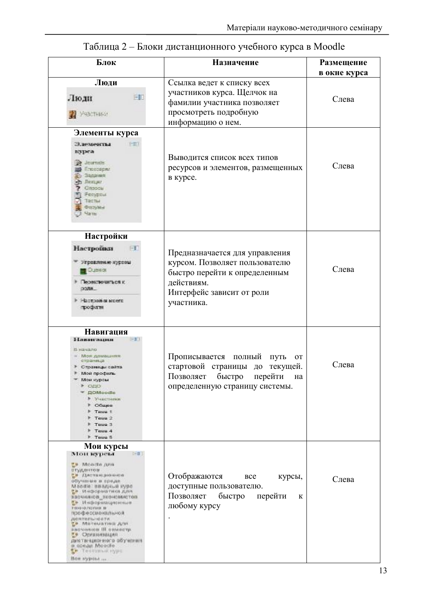| Блок                                                                                                                                                                                                                                                                                                                                                                                                                                   | Назначение                                                                                                                                                 | Размещение<br>в окне курса |
|----------------------------------------------------------------------------------------------------------------------------------------------------------------------------------------------------------------------------------------------------------------------------------------------------------------------------------------------------------------------------------------------------------------------------------------|------------------------------------------------------------------------------------------------------------------------------------------------------------|----------------------------|
| Люди<br>FF<br>Люди.<br><b>BE VALISHING</b>                                                                                                                                                                                                                                                                                                                                                                                             | Ссылка ведет к списку всех<br>участников курса. Щелчок на<br>фамилии участника позволяет<br>просмотреть подробную<br>информацию о нем.                     | Слева                      |
| Элементы курса<br>Элементы<br>$-111$<br>курса<br>29 Journals<br>Плоезарил<br><b>Sanaries</b><br>Лен, нг.<br>Onopoli<br>Forytrout<br>Tectur<br>Haluting<br>$u_{\text{STE}}$                                                                                                                                                                                                                                                             | Выводится список всех типов<br>ресурсов и элементов, размещенных<br>в курсе.                                                                               | Слева                      |
| Настройки<br>Настройки<br>Угравление куровы<br>Озенок<br><b>ROBETOURTEDS</b> K<br>DOM:<br>Настроя в моего<br>трофитя                                                                                                                                                                                                                                                                                                                   | Предназначается для управления<br>курсом. Позволяет пользователю<br>быстро перейти к определенным<br>действиям.<br>Интерфейс зависит от роли<br>участника. | Слева                      |
| Навигация<br>Навигация<br>$-11$<br>В начало<br>REFLIGNOR ROMA<br>страница<br><b>• Страницы сайта</b><br>Most apodunts<br>Мон курсы<br><b>OUO</b><br><b>DOMoodle</b><br>• Участники<br>P OGujos<br><b>F</b> Teue 1<br>Teus 2<br>Teus 3<br>Teue 4<br>F Teus 5                                                                                                                                                                            | Прописывается полный<br>путь<br><b>OT</b><br>стартовой страницы до<br>текущей.<br>Позволяет быстро перейти<br>на<br>определенную страницу системы.         | Слева                      |
| Мои курсы<br>$I = \Pi$<br>мои курсы<br><b>Monda</b> just<br>отудентов<br>та дистандионное<br>обучаные в преда-<br>Mandle: BBazusus Kype<br>ев информатика для<br><b>ЭВОЧНАКОВ, ЛЕОНОМНОТОВ</b><br>пр. Информационные<br>FRONTOUTED FIRST BE<br>профессиональной.<br>JUSTIFICATION TVL<br><b>METRURYHELM</b> THE<br>пасчилови III опместр.<br>т в Организация<br>диатвеционного обучения.<br>B.COLAR MOOCHe<br><b>THE THETOMAK HYDE</b> | Отображаются<br><b>BCC</b><br>курсы,<br>доступные пользователю.<br>Позволяет<br>быстро<br>перейти<br>К<br>любому курсу                                     | Слева                      |

## Таблица 2 - Блоки дистанционного учебного курса в Moodle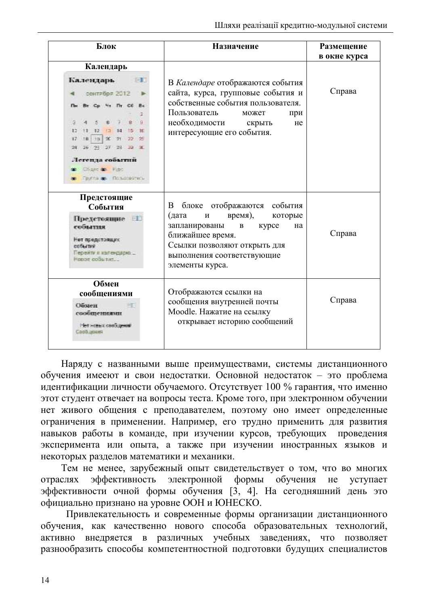| Блок                                                                                                                                                                                             | Назначение                                                                                                                                                                                                       | Размещение<br>в окне курса |  |
|--------------------------------------------------------------------------------------------------------------------------------------------------------------------------------------------------|------------------------------------------------------------------------------------------------------------------------------------------------------------------------------------------------------------------|----------------------------|--|
| Календарь<br>Календарь<br>$-1$<br>сентября 2012<br>Cp 4s Fir CC Bc<br>s<br>10<br>17<br>19 <sub>1</sub><br>宜 21<br>98.<br>$27 - 23$<br>Легенда событий<br>Charc & Fire:<br>punta as floradoparena | В Календаре отображаются события<br>сайта, курса, групповые события и<br>собственные события пользователя.<br>Пользователь<br>может<br>при<br>необходимости<br>скрыть<br>He<br>интересующие его события.         | Справа                     |  |
| Предстоящие<br>События<br>Предстоящие :: 13<br>события<br>Нет представших<br>событие<br>Пережу к капендарно<br>DECIE COOL TIME.                                                                  | отображаются события<br>блоке<br>B<br>(дата<br>время),<br>которые<br>И<br>запланированы<br>курсе<br>на<br>B<br>ближайшее время.<br>Ссылки позволяют открыть для<br>выполнения соответствующие<br>элементы курса. | Справа                     |  |
| Обмен<br>сообщениями<br>Общен-<br>сообщениями<br>Нет новых сообщений<br>Свобзючия                                                                                                                | Отображаются ссылки на<br>сообщения внутренней почты<br>Moodle. Нажатие на ссылку<br>открывает историю сообщений                                                                                                 | Справа                     |  |

Наряду с названными выше преимуществами, системы дистанционного обучения имееют и свои недостатки. Основной недостаток - это проблема идентификации личности обучаемого. Отсутствует 100 % гарантия, что именно этот студент отвечает на вопросы теста. Кроме того, при электронном обучении нет живого общения с преподавателем, поэтому оно имеет определенные ограничения в применении. Например, его трудно применить для развития навыков работы в команде, при изучении курсов, требующих проведения эксперимента или опыта, а также при изучении иностранных языков и некоторых разделов математики и механики.

Тем не менее, зарубежный опыт свидетельствует о том, что во многих эффективность электронной обучения не отраслях формы уступает эффективности очной формы обучения [3, 4]. На сегодняшний день это официально признано на уровне ООН и ЮНЕСКО.

Привлекательность и современные формы организации дистанционного обучения, как качественно нового способа образовательных технологий, активно внедряется в различных учебных заведениях, что позволяет разнообразить способы компетентностной подготовки будущих специалистов